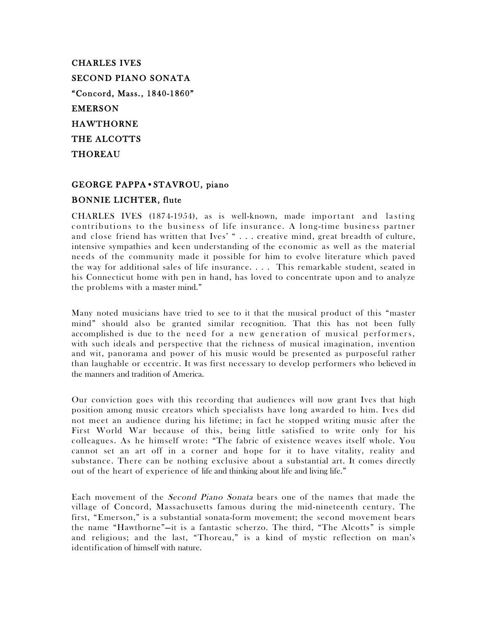CHARLES IVES SECOND PIANO SONATA "Concord, Mass., 1840-1860" EMERSON HAWTHORNE THE ALCOTTS THOREAU

# GEORGE PAPPA•STAVROU, piano BONNIE LICHTER, flute

CHARLES IVES  $(1874-1954)$ , as is well-known, made important and lasting contributions to the business of life insurance. A long-time business partner and close friend has written that Ives' " . . . creative mind, great breadth of culture, intensive sympathies and keen understanding of the economic as well as the material needs of the community made it possible for him to evolve literature which paved the way for additional sales of life insurance. . . . This remarkable student, seated in his Connecticut home with pen in hand, has loved to concentrate upon and to analyze the problems with a master mind."

Many noted musicians have tried to see to it that the musical product of this "master mind" should also be granted similar recognition. That this has not been fully accomplished is due to the need for a new generation of musical performers, with such ideals and perspective that the richness of musical imagination, invention and wit, panorama and power of his music would be presented as purposeful rather than laughable or eccentric. It was first necessary to develop performers who believed in the manners and tradition of America.

Our conviction goes with this recording that audiences will now grant Ives that high position among music creators which specialists have long awarded to him. Ives did not meet an audience during his lifetime; in fact he stopped writing music after the First World War because of this, being little satisfied to write only for his colleagues. As he himself wrote: "The fabric of existence weaves itself whole. You cannot set an art off in a corner and hope for it to have vitality, reality and substance. There can be nothing exclusive about a substantial art. It comes directly out of the heart of experience of life and thinking about life and living life."

Each movement of the Second Piano Sonata bears one of the names that made the village of Concord, Massachusetts famous during the mid-nineteenth century. The first, "Emerson," is a substantial sonata-form movement; the second movement bears the name "Hawthorne"—it is a fantastic scherzo. The third, "The Alcotts" is simple and religious; and the last, "Thoreau," is a kind of mystic reflection on man's identification of himself with nature.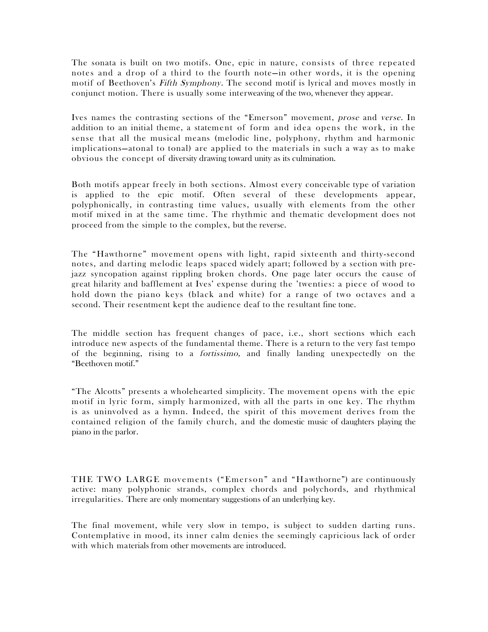The sonata is built on two motifs. One, epic in nature, consists of three repeated notes and a drop of a third to the fourth note—in other words, it is the opening motif of Beethoven's Fifth Symphony. The second motif is lyrical and moves mostly in conjunct motion. There is usually some interweaving of the two, whenever they appear.

Ives names the contrasting sections of the "Emerson" movement, prose and verse. In addition to an initial theme, a stateme nt of form and idea opens the work, in the sense that all the musical means (melodic line, polyphony, rhythm and harmonic implications—atonal to tonal) are applied to the materials in such a way as to make obvious the concept of diversity drawing toward unity as its culmination.

Both motifs appear freely in both sections. Almost every conceivable type of variation is applied to the epic motif. Often several of these developments appear, polyphonically, in contrasting time values, usually with elements from the other motif mixed in at the same time. The rhythmic and thematic development does not proceed from the simple to the complex, but the reverse.

The "Hawthorne" movement opens with light, rapid sixteenth and thirty-second notes, and darting melodic leaps spaced widely apart; followed by a section with prejazz syncopation against rippling broken chords. One page later occurs the cause of great hilarity and bafflement at Ives' expense during the 'twenties: a piece of wood to hold down the piano keys (black and white) for a range of two octaves and a second. Their resentment kept the audience deaf to the resultant fine tone.

The middle section has frequent changes of pace, i.e., short sections which each introduce new aspects of the fundamental theme. There is a return to the very fast tempo of the beginning, rising to a fortissimo, and finally landing unexpectedly on the "Beethoven motif."

"The Alcotts" presents a wholehearted simplicity. The movement opens with the epic motif in lyric form, simply harmonized, with all the parts in one key. The rhythm is as uninvolved as a hymn. Indeed, the spirit of this movement derives from the contained religion of the family church, and the domestic music of daughters playing the piano in the parlor.

THE TWO LARGE movements ("Emerson" and "Hawthorne") are continuously active: many polyphonic strands, complex chords and polychords, and rhythmical irregularities. There are only momentary suggestions of an underlying key.

The final movement, while very slow in tempo, is subject to sudden darting runs. Contemplative in mood, its inner calm denies the seemingly capricious lack of order with which materials from other movements are introduced.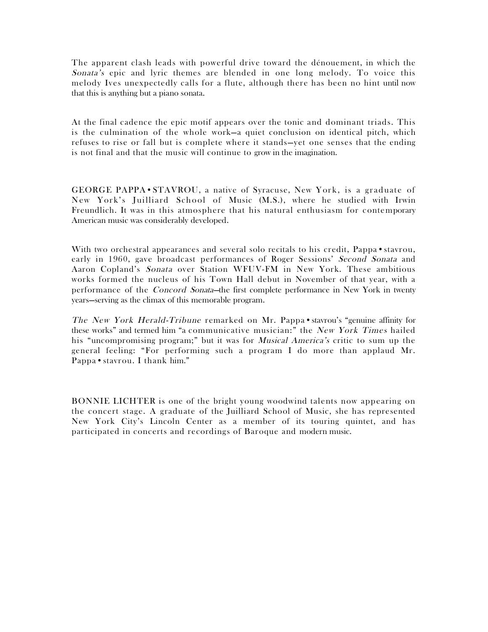The apparent clash leads with powerful drive toward the dénouement, in which the Sonata's epic and lyric themes are blended in one long melody. To voice this melody Ives unexpectedly calls for a flute, although there has been no hint until now that this is anything but a piano sonata.

At the final cadence the epic motif appears over the tonic and dominant triads. This is the culmination of the whole work—a quiet conclusion on identical pitch, which refuses to rise or fall but is complete where it stands—yet one senses that the ending is not final and that the music will continue to grow in the imagination.

GEORGE PAPPA · STAVROU, a native of Syracuse, New York, is a graduate of New York's Juilliard School of Music (M.S.), where he studied with Irwin Freundlich. It was in this atmosphere that his natural enthusiasm for contemporary American music was considerably developed.

With two orchestral appearances and several solo recitals to his credit, Pappa • stavrou, early in 1960, gave broadcast performances of Roger Sessions' Second Sonata and Aaron Copland's Sonata over Station WFUV-FM in New York. These ambitious works formed the nucleus of his Town Hall debut in November of that year, with a performance of the *Concord Sonata*—the first complete performance in New York in twenty years—serving as the climax of this memorable program.

The New York Herald-Tribune remarked on Mr. Pappa•stavrou's "genuine affinity for these works" and termed him "a communicative musician:" the New York Times hailed his "uncompromising program;" but it was for *Musical America's* critic to sum up the general feeling: "For performing such a program I do more than applaud Mr. Pappa • stavrou. I thank him."

BONNIE LICHTER is one of the bright young woodwind talents now appearing on the concert stage. A graduate of the Juilliard School of Music, she has represented New York City's Lincoln Center as a member of its touring quintet, and has participated in concerts and recordings of Baroque and modern music.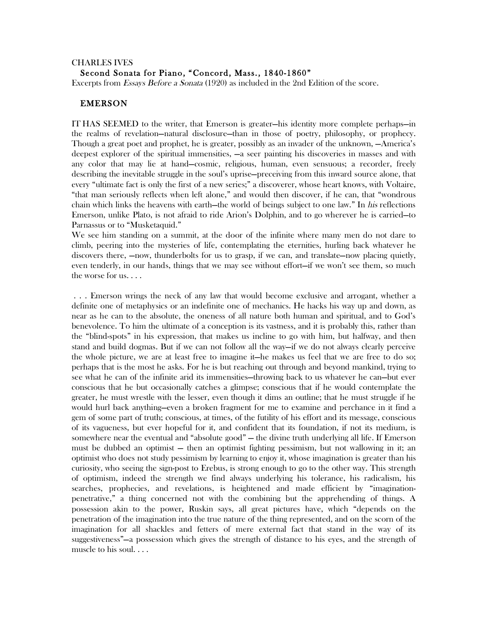### CHARLES IVES Second Sonata for Piano, "Concord, Mass., 1840-1860"

Excerpts from Essays Before a Sonata (1920) as included in the 2nd Edition of the score.

## EMERSON

IT HAS SEEMED to the writer, that Emerson is greater—his identity more complete perhaps—in the realms of revelation—natural disclosure—than in those of poetry, philosophy, or prophecy. Though a great poet and prophet, he is greater, possibly as an invader of the unknown, —America's deepest explorer of the spiritual immensities, —a seer painting his discoveries in masses and with any color that may lie at hand—cosmic, religious, human, even sensuous; a recorder, freely describing the inevitable struggle in the soul's uprise—preceiving from this inward source alone, that every "ultimate fact is only the first of a new series;" a discoverer, whose heart knows, with Voltaire, "that man seriously reflects when left alone," and would then discover, if he can, that "wondrous chain which links the heavens with earth—the world of beings subject to one law." In his reflections Emerson, unlike Plato, is not afraid to ride Arion's Dolphin, and to go wherever he is carried—to Parnassus or to "Musketaquid."

We see him standing on a summit, at the door of the infinite where many men do not dare to climb, peering into the mysteries of life, contemplating the eternities, hurling back whatever he discovers there, —now, thunderbolts for us to grasp, if we can, and translate—now placing quietly, even tenderly, in our hands, things that we may see without effort—if we won't see them, so much the worse for us. . . .

 . . . Emerson wrings the neck of any law that would become exclusive and arrogant, whether a definite one of metaphysics or an indefinite one of mechanics. He hacks his way up and down, as near as he can to the absolute, the oneness of all nature both human and spiritual, and to God's benevolence. To him the ultimate of a conception is its vastness, and it is probably this, rather than the "blind-spots" in his expression, that makes us incline to go with him, but halfway, and then stand and build dogmas. But if we can not follow all the way—if we do not always clearly perceive the whole picture, we are at least free to imagine it—he makes us feel that we are free to do so; perhaps that is the most he asks. For he is but reaching out through and beyond mankind, trying to see what he can of the infinite arid its immensities—throwing back to us whatever he can—but ever conscious that he but occasionally catches a glimpse; conscious that if he would contemplate the greater, he must wrestle with the lesser, even though it dims an outline; that he must struggle if he would hurl back anything—even a broken fragment for me to examine and perchance in it find a gem of some part of truth; conscious, at times, of the futility of his effort and its message, conscious of its vagueness, but ever hopeful for it, and confident that its foundation, if not its medium, is somewhere near the eventual and "absolute good" — the divine truth underlying all life. If Emerson must be dubbed an optimist — then an optimist fighting pessimism, but not wallowing in it; an optimist who does not study pessimism by learning to enjoy it, whose imagination is greater than his curiosity, who seeing the sign-post to Erebus, is strong enough to go to the other way. This strength of optimism, indeed the strength we find always underlying his tolerance, his radicalism, his searches, prophecies, and revelations, is heightened and made efficient by "imaginationpenetrative," a thing concerned not with the combining but the apprehending of things. A possession akin to the power, Ruskin says, all great pictures have, which "depends on the penetration of the imagination into the true nature of the thing represented, and on the scorn of the imagination for all shackles and fetters of mere external fact that stand in the way of its suggestiveness"—a possession which gives the strength of distance to his eyes, and the strength of muscle to his soul. . . .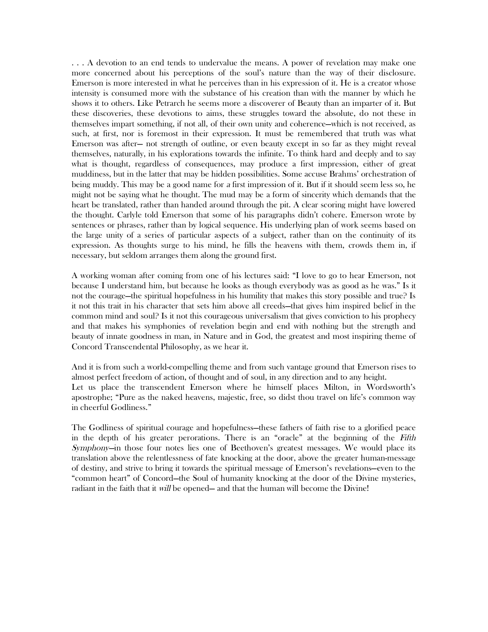. . . A devotion to an end tends to undervalue the means. A power of revelation may make one more concerned about his perceptions of the soul's nature than the way of their disclosure. Emerson is more interested in what he perceives than in his expression of it. He is a creator whose intensity is consumed more with the substance of his creation than with the manner by which he shows it to others. Like Petrarch he seems more a discoverer of Beauty than an imparter of it. But these discoveries, these devotions to aims, these struggles toward the absolute, do not these in themselves impart something, if not all, of their own unity and coherence—which is not received, as such, at first, nor is foremost in their expression. It must be remembered that truth was what Emerson was after— not strength of outline, or even beauty except in so far as they might reveal themselves, naturally, in his explorations towards the infinite. To think hard and deeply and to say what is thought, regardless of consequences, may produce a first impression, either of great muddiness, but in the latter that may be hidden possibilities. Some accuse Brahms' orchestration of being muddy. This may be a good name for a first impression of it. But if it should seem less so, he might not be saying what he thought. The mud may be a form of sincerity which demands that the heart be translated, rather than handed around through the pit. A clear scoring might have lowered the thought. Carlyle told Emerson that some of his paragraphs didn't cohere. Emerson wrote by sentences or phrases, rather than by logical sequence. His underlying plan of work seems based on the large unity of a series of particular aspects of a subject, rather than on the continuity of its expression. As thoughts surge to his mind, he fills the heavens with them, crowds them in, if necessary, but seldom arranges them along the ground first.

A working woman after coming from one of his lectures said: "I love to go to hear Emerson, not because I understand him, but because he looks as though everybody was as good as he was." Is it not the courage—the spiritual hopefulness in his humility that makes this story possible and true? Is it not this trait in his character that sets him above all creeds—that gives him inspired belief in the common mind and soul? Is it not this courageous universalism that gives conviction to his prophecy and that makes his symphonies of revelation begin and end with nothing but the strength and beauty of innate goodness in man, in Nature and in God, the greatest and most inspiring theme of Concord Transcendental Philosophy, as we hear it.

And it is from such a world-compelling theme and from such vantage ground that Emerson rises to almost perfect freedom of action, of thought and of soul, in any direction and to any height. Let us place the transcendent Emerson where he himself places Milton, in Wordsworth's apostrophe; "Pure as the naked heavens, majestic, free, so didst thou travel on life's common way in cheerful Godliness."

The Godliness of spiritual courage and hopefulness—these fathers of faith rise to a glorified peace in the depth of his greater perorations. There is an "oracle" at the beginning of the Fifth Symphony—in those four notes lies one of Beethoven's greatest messages. We would place its translation above the relentlessness of fate knocking at the door, above the greater human-message of destiny, and strive to bring it towards the spiritual message of Emerson's revelations—even to the "common heart" of Concord—the Soul of humanity knocking at the door of the Divine mysteries, radiant in the faith that it *will* be opened— and that the human will become the Divine!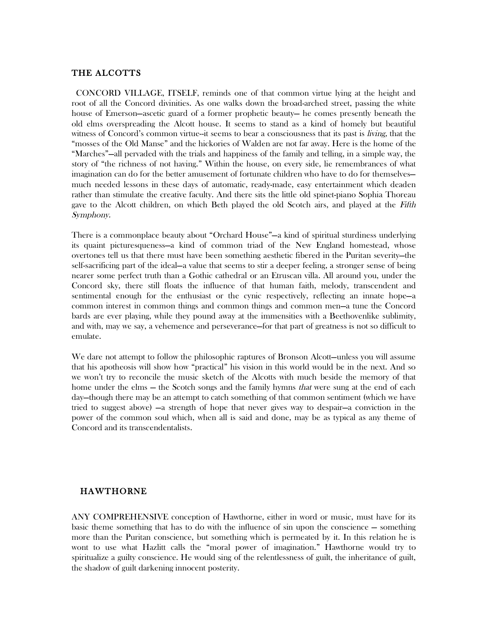### THE ALCOTTS

 CONCORD VILLAGE, ITSELF, reminds one of that common virtue lying at the height and root of all the Concord divinities. As one walks down the broad-arched street, passing the white house of Emerson—ascetic guard of a former prophetic beauty— he comes presently beneath the old elms overspreading the Alcott house. It seems to stand as a kind of homely but beautiful witness of Concord's common virtue--it seems to bear a consciousness that its past is *living*, that the "mosses of the Old Manse" and the hickories of Walden are not far away. Here is the home of the "Marches"—all pervaded with the trials and happiness of the family and telling, in a simple way, the story of "the richness of not having." Within the house, on every side, lie remembrances of what imagination can do for the better amusement of fortunate children who have to do for themselves much needed lessons in these days of automatic, ready-made, easy entertainment which deaden rather than stimulate the creative faculty. And there sits the little old spinet-piano Sophia Thoreau gave to the Alcott children, on which Beth played the old Scotch airs, and played at the Fifth Symphony.

There is a commonplace beauty about "Orchard House"—a kind of spiritual sturdiness underlying its quaint picturesqueness—a kind of common triad of the New England homestead, whose overtones tell us that there must have been something aesthetic fibered in the Puritan severity—the self-sacrificing part of the ideal—a value that seems to stir a deeper feeling, a stronger sense of being nearer some perfect truth than a Gothic cathedral or an Etruscan villa. All around you, under the Concord sky, there still floats the influence of that human faith, melody, transcendent and sentimental enough for the enthusiast or the cynic respectively, reflecting an innate hope—a common interest in common things and common things and common men—a tune the Concord bards are ever playing, while they pound away at the immensities with a Beethovenlike sublimity, and with, may we say, a vehemence and perseverance—for that part of greatness is not so difficult to emulate.

We dare not attempt to follow the philosophic raptures of Bronson Alcott—unless you will assume that his apotheosis will show how "practical" his vision in this world would be in the next. And so we won't try to reconcile the music sketch of the Alcotts with much beside the memory of that home under the elms – the Scotch songs and the family hymns *that* were sung at the end of each day—though there may be an attempt to catch something of that common sentiment (which we have tried to suggest above) —a strength of hope that never gives way to despair—a conviction in the power of the common soul which, when all is said and done, may be as typical as any theme of Concord and its transcendentalists.

## HAWTHORNE

ANY COMPREHENSIVE conception of Hawthorne, either in word or music, must have for its basic theme something that has to do with the influence of sin upon the conscience — something more than the Puritan conscience, but something which is permeated by it. In this relation he is wont to use what Hazlitt calls the "moral power of imagination." Hawthorne would try to spiritualize a guilty conscience. He would sing of the relentlessness of guilt, the inheritance of guilt, the shadow of guilt darkening innocent posterity.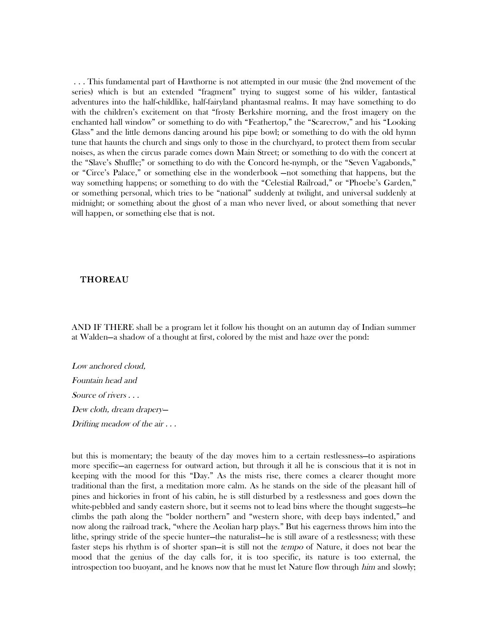. . . This fundamental part of Hawthorne is not attempted in our music (the 2nd movement of the series) which is but an extended "fragment" trying to suggest some of his wilder, fantastical adventures into the half-childlike, half-fairyland phantasmal realms. It may have something to do with the children's excitement on that "frosty Berkshire morning, and the frost imagery on the enchanted hall window" or something to do with "Feathertop," the "Scarecrow," and his "Looking Glass" and the little demons dancing around his pipe bowl; or something to do with the old hymn tune that haunts the church and sings only to those in the churchyard, to protect them from secular noises, as when the circus parade comes down Main Street; or something to do with the concert at the "Slave's Shuffle;" or something to do with the Concord he-nymph, or the "Seven Vagabonds," or "Circe's Palace," or something else in the wonderbook —not something that happens, but the way something happens; or something to do with the "Celestial Railroad," or "Phoebe's Garden," or something personal, which tries to be "national" suddenly at twilight, and universal suddenly at midnight; or something about the ghost of a man who never lived, or about something that never will happen, or something else that is not.

#### THOREAU

AND IF THERE shall be a program let it follow his thought on an autumn day of Indian summer at Walden—a shadow of a thought at first, colored by the mist and haze over the pond:

Low anchored cloud, Fountain head and Source of rivers . . . Dew cloth, dream drapery— Drifting meadow of the air . . .

but this is momentary; the beauty of the day moves him to a certain restlessness—to aspirations more specific—an eagerness for outward action, but through it all he is conscious that it is not in keeping with the mood for this "Day." As the mists rise, there comes a clearer thought more traditional than the first, a meditation more calm. As he stands on the side of the pleasant hill of pines and hickories in front of his cabin, he is still disturbed by a restlessness and goes down the white-pebbled and sandy eastern shore, but it seems not to lead bins where the thought suggests—he climbs the path along the "bolder northern" and "western shore, with deep bays indented," and now along the railroad track, "where the Aeolian harp plays." But his eagerness throws him into the lithe, springy stride of the specie hunter—the naturalist—he is still aware of a restlessness; with these faster steps his rhythm is of shorter span—it is still not the tempo of Nature, it does not bear the mood that the genius of the day calls for, it is too specific, its nature is too external, the introspection too buoyant, and he knows now that he must let Nature flow through *him* and slowly;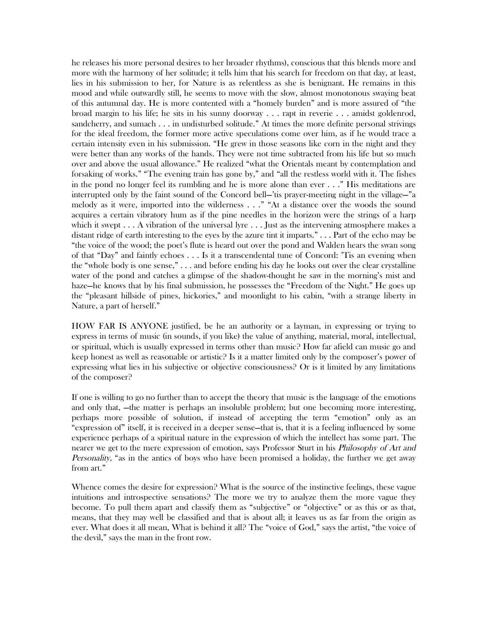he releases his more personal desires to her broader rhythms), conscious that this blends more and more with the harmony of her solitude; it tells him that his search for freedom on that day, at least, lies in his submission to her, for Nature is as relentless as she is benignant. He remains in this mood and while outwardly still, he seems to move with the slow, almost monotonous swaying beat of this autumnal day. He is more contented with a "homely burden" and is more assured of "the broad margin to his life; he sits in his sunny doorway . . . rapt in reverie . . . amidst goldenrod, sandcherry, and sumach . . . in undisturbed solitude." At times the more definite personal strivings for the ideal freedom, the former more active speculations come over him, as if he would trace a certain intensity even in his submission. "He grew in those seasons like corn in the night and they were better than any works of the hands. They were not time subtracted from his life but so much over and above the usual allowance." He realized "what the Orientals meant by contemplation and forsaking of works." "The evening train has gone by," and "all the restless world with it. The fishes in the pond no longer feel its rumbling and he is more alone than ever . . ." His meditations are interrupted only by the faint sound of the Concord bell—'tis prayer-meeting night in the village—"a melody as it were, imported into the wilderness . . ." "At a distance over the woods the sound acquires a certain vibratory hum as if the pine needles in the horizon were the strings of a harp which it swept  $\dots$  A vibration of the universal lyre  $\dots$  Just as the intervening atmosphere makes a distant ridge of earth interesting to the eyes by the azure tint it imparts." . . . Part of the echo may be "the voice of the wood; the poet's flute is heard out over the pond and Walden hears the swan song of that "Day" and faintly echoes . . . Is it a transcendental tune of Concord: 'Tis an evening when the "whole body is one sense," . . . and before ending his day he looks out over the clear crystalline water of the pond and catches a glimpse of the shadow-thought he saw in the morning's mist and haze—he knows that by his final submission, he possesses the "Freedom of the Night." He goes up the "pleasant hillside of pines, hickories," and moonlight to his cabin, "with a strange liberty in Nature, a part of herself."

HOW FAR IS ANYONE justified, be he an authority or a layman, in expressing or trying to express in terms of music (in sounds, if you like) the value of anything, material, moral, intellectual, or spiritual, which is usually expressed in terms other than music? How far afield can music go and keep honest as well as reasonable or artistic? Is it a matter limited only by the composer's power of expressing what lies in his subjective or objective consciousness? Or is it limited by any limitations of the composer?

If one is willing to go no further than to accept the theory that music is the language of the emotions and only that, —the matter is perhaps an insoluble problem; but one becoming more interesting, perhaps more possible of solution, if instead of accepting the term "emotion" only as an "expression of" itself, it is received in a deeper sense—that is, that it is a feeling influenced by some experience perhaps of a spiritual nature in the expression of which the intellect has some part. The nearer we get to the mere expression of emotion, says Professor Sturt in his *Philosophy of Art and* Personality, "as in the antics of boys who have been promised a holiday, the further we get away from art."

Whence comes the desire for expression? What is the source of the instinctive feelings, these vague intuitions and introspective sensations? The more we try to analyze them the more vague they become. To pull them apart and classify them as "subjective" or "objective" or as this or as that, means, that they may well be classified and that is about all; it leaves us as far from the origin as ever. What does it all mean, What is behind it all? The "voice of God," says the artist, "the voice of the devil," says the man in the front row.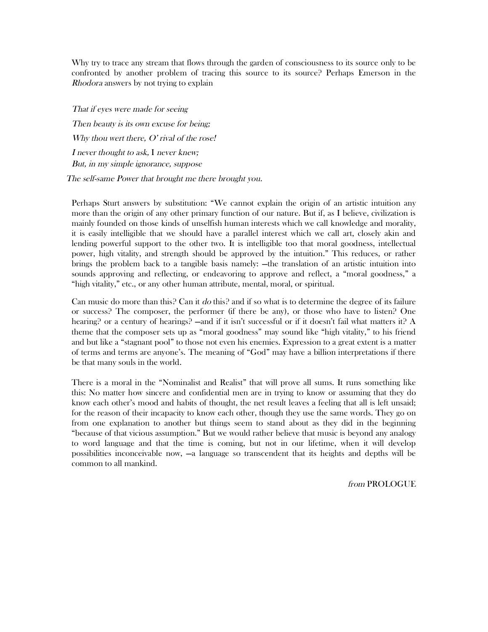Why try to trace any stream that flows through the garden of consciousness to its source only to be confronted by another problem of tracing this source to its source? Perhaps Emerson in the Rhodora answers by not trying to explain

That if eyes were made for seeing Then beauty is its own excuse for being; Why thou wert there,  $O'$  rival of the rose! <sup>I</sup> never thought to ask, I never knew; But, in my simple ignorance, suppose The self-same Power that brought me there brought you.

Perhaps Sturt answers by substitution: "We cannot explain the origin of an artistic intuition any more than the origin of any other primary function of our nature. But if, as I believe, civilization is mainly founded on those kinds of unselfish human interests which we call knowledge and morality, it is easily intelligible that we should have a parallel interest which we call art, closely akin and lending powerful support to the other two. It is intelligible too that moral goodness, intellectual power, high vitality, and strength should be approved by the intuition." This reduces, or rather brings the problem back to a tangible basis namely: —the translation of an artistic intuition into sounds approving and reflecting, or endeavoring to approve and reflect, a "moral goodness," a "high vitality," etc., or any other human attribute, mental, moral, or spiritual.

Can music do more than this? Can it do this? and if so what is to determine the degree of its failure or success? The composer, the performer (if there be any), or those who have to listen? One hearing? or a century of hearings? —and if it isn't successful or if it doesn't fail what matters it? A theme that the composer sets up as "moral goodness" may sound like "high vitality," to his friend and but like a "stagnant pool" to those not even his enemies. Expression to a great extent is a matter of terms and terms are anyone's. The meaning of "God" may have a billion interpretations if there be that many souls in the world.

There is a moral in the "Nominalist and Realist" that will prove all sums. It runs something like this: No matter how sincere and confidential men are in trying to know or assuming that they do know each other's mood and habits of thought, the net result leaves a feeling that all is left unsaid; for the reason of their incapacity to know each other, though they use the same words. They go on from one explanation to another but things seem to stand about as they did in the beginning "because of that vicious assumption." But we would rather believe that music is beyond any analogy to word language and that the time is coming, but not in our lifetime, when it will develop possibilities inconceivable now, —a language so transcendent that its heights and depths will be common to all mankind.

from PROLOGUE